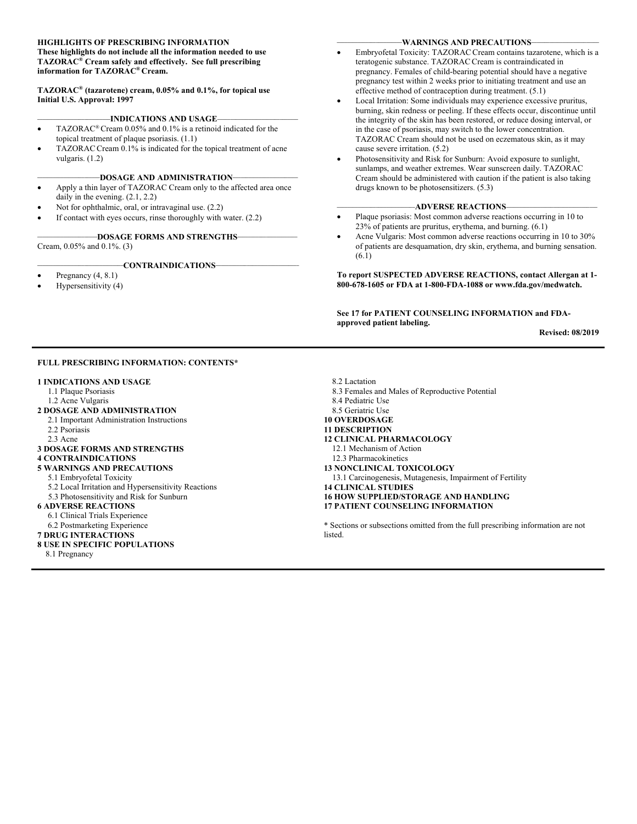#### **HIGHLIGHTS OF PRESCRIBING INFORMATION**

 **TAZORAC® Cream safely and effectively. See full prescribing These highlights do not include all the information needed to use information for TAZORAC® Cream.** 

 **Initial U.S. Approval: 1997 TAZORAC® (tazarotene) cream, 0.05% and 0.1%, for topical use** 

#### **\_\_\_\_\_\_\_\_\_\_\_\_\_\_\_\_\_\_\_\_\_\_\_\_\_\_\_\_INDICATIONS AND USAGE\_\_\_\_\_\_\_\_\_\_\_\_\_\_\_\_\_\_\_\_\_\_\_\_\_\_\_\_\_\_\_**

- topical treatment of plaque psoriasis. (1.1) TAZORAC® Cream 0.05% and 0.1% is a retinoid indicated for the
- TAZORAC Cream 0.1% is indicated for the topical treatment of acne vulgaris. (1.2)

#### **\_\_\_\_\_\_\_\_\_\_\_\_\_\_\_\_\_\_\_\_\_\_\_\_DOSAGE AND ADMINISTRATION\_\_\_\_\_\_\_\_\_\_\_\_\_\_\_\_\_\_\_\_\_\_\_\_\_**

- Apply a thin layer of TAZORAC Cream only to the affected area once daily in the evening. (2.1, 2.2)
- Not for ophthalmic, oral, or intravaginal use.  $(2.2)$
- If contact with eyes occurs, rinse thoroughly with water. (2.2)

#### **\_\_\_\_\_\_\_\_\_\_\_\_\_\_\_\_\_\_\_\_\_\_\_DOSAGE FORMS AND STRENGTHS\_\_\_\_\_\_\_\_\_\_\_\_\_\_\_\_\_\_\_\_\_\_\_**

Cream, 0.05% and 0.1%. (3)

#### -CONTRAINDICATIONS-

- Pregnancy  $(4, 8.1)$
- Hypersensitivity (4)

#### **WARNINGS AND PRECAUTIONS-**

- Embryofetal Toxicity: TAZORAC Cream contains tazarotene, which is a teratogenic substance. TAZORAC Cream is contraindicated in pregnancy. Females of child-bearing potential should have a negative pregnancy test within 2 weeks prior to initiating treatment and use an effective method of contraception during treatment. (5.1)
- burning, skin redness or peeling. If these effects occur, discontinue until the integrity of the skin has been restored, or reduce dosing interval, or Local Irritation: Some individuals may experience excessive pruritus, in the case of psoriasis, may switch to the lower concentration. TAZORAC Cream should not be used on eczematous skin, as it may cause severe irritation. (5.2)
- Photosensitivity and Risk for Sunburn: Avoid exposure to sunlight, sunlamps, and weather extremes. Wear sunscreen daily. TAZORAC Cream should be administered with caution if the patient is also taking drugs known to be photosensitizers. (5.3)

#### -ADVERSE REACTIONS-

- 23% of patients are pruritus, erythema, and burning. (6.1) Plaque psoriasis: Most common adverse reactions occurring in 10 to
- of patients are desquamation, dry skin, erythema, and burning sensation. Acne Vulgaris: Most common adverse reactions occurring in 10 to 30%  $(6.1)$

 **To report SUSPECTED ADVERSE REACTIONS, contact Allergan at 1- 800-678-1605 or FDA at 1-800-FDA-1088 or www.fda.gov/medwatch.** 

**See 17 for PATIENT COUNSELING INFORMATION and FDAapproved patient labeling.** 

 **Revised: 08/2019** 

#### **FULL PRESCRIBING INFORMATION: CONTENTS\***

#### **1 INDICATIONS AND USAGE**

- 1.1 Plaque Psoriasis
- 1.2 Acne Vulgaris
- **2 DOSAGE AND ADMINISTRATION**
- 2.1 Important Administration Instructions
	- 2.2 Psoriasis
	- 2.3 Acne

#### **3 DOSAGE FORMS AND STRENGTHS**

#### **4 CONTRAINDICATIONS**

- **5 WARNINGS AND PRECAUTIONS**
- 5.1 Embryofetal Toxicity
- 5.2 Local Irritation and Hypersensitivity Reactions
- 5.3 Photosensitivity and Risk for Sunburn

#### **6 ADVERSE REACTIONS**

- 6.1 Clinical Trials Experience
- 6.2 Postmarketing Experience

#### **7 DRUG INTERACTIONS**

#### **8 USE IN SPECIFIC POPULATIONS**

8.1 Pregnancy

 8.3 Females and Males of Reproductive Potential 8.4 Pediatric Use 8.5 Geriatric Use **10 OVERDOSAGE 11 DESCRIPTION 12 CLINICAL PHARMACOLOGY**  12.1 Mechanism of Action 12.3 Pharmacokinetics **13 NONCLINICAL TOXICOLOGY** 13.1 Carcinogenesis, Mutagenesis, Impairment of Fertility **14 CLINICAL STUDIES 16 HOW SUPPLIED/STORAGE AND HANDLING** 

8.2 Lactation

- **17 PATIENT COUNSELING INFORMATION**
- 

\* Sections or subsections omitted from the full prescribing information are not listed.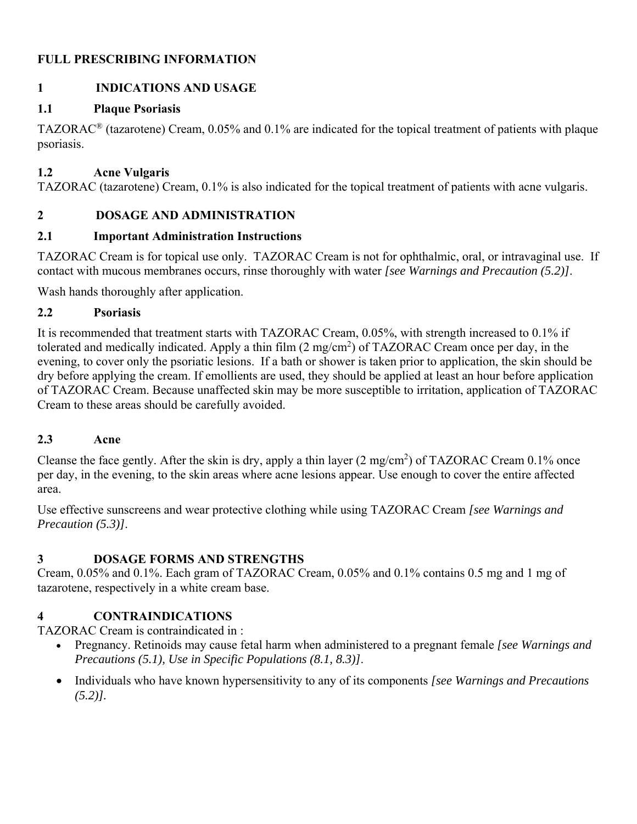#### **FULL PRESCRIBING INFORMATION**

#### **1 INDICATIONS AND USAGE**

#### **1.1 Plaque Psoriasis**

TAZORAC® (tazarotene) Cream, 0.05% and 0.1% are indicated for the topical treatment of patients with plaque psoriasis.

#### **1.2 Acne Vulgaris**

TAZORAC (tazarotene) Cream, 0.1% is also indicated for the topical treatment of patients with acne vulgaris.

#### **2 DOSAGE AND ADMINISTRATION**

#### **2.1 Important Administration Instructions**

TAZORAC Cream is for topical use only. TAZORAC Cream is not for ophthalmic, oral, or intravaginal use. If contact with mucous membranes occurs, rinse thoroughly with water *[see Warnings and Precaution (5.2)]*.

Wash hands thoroughly after application.

#### $2.2$ **2.2 Psoriasis**

It is recommended that treatment starts with TAZORAC Cream, 0.05%, with strength increased to 0.1% if tolerated and medically indicated. Apply a thin film  $(2 \text{ mg/cm}^2)$  of TAZORAC Cream once per day, in the evening, to cover only the psoriatic lesions. If a bath or shower is taken prior to application, the skin should be dry before applying the cream. If emollients are used, they should be applied at least an hour before application of TAZORAC Cream. Because unaffected skin may be more susceptible to irritation, application of TAZORAC Cream to these areas should be carefully avoided.

#### **2.3 Acne**

Cleanse the face gently. After the skin is dry, apply a thin layer  $(2 \text{ mg/cm}^2)$  of TAZORAC Cream 0.1% once per day, in the evening, to the skin areas where acne lesions appear. Use enough to cover the entire affected area.

Use effective sunscreens and wear protective clothing while using TAZORAC Cream *[see Warnings and Precaution (5.3)]*.

## **3 DOSAGE FORMS AND STRENGTHS**

Cream, 0.05% and 0.1%. Each gram of TAZORAC Cream, 0.05% and 0.1% contains 0.5 mg and 1 mg of tazarotene, respectively in a white cream base.

## **4 CONTRAINDICATIONS**

TAZORAC Cream is contraindicated in :

- *Precautions (5.1), Use in Specific Populations (8.1, 8.3)]*. Pregnancy. Retinoids may cause fetal harm when administered to a pregnant female *[see Warnings and*
- Individuals who have known hypersensitivity to any of its components *[see Warnings and Precautions (5.2)].*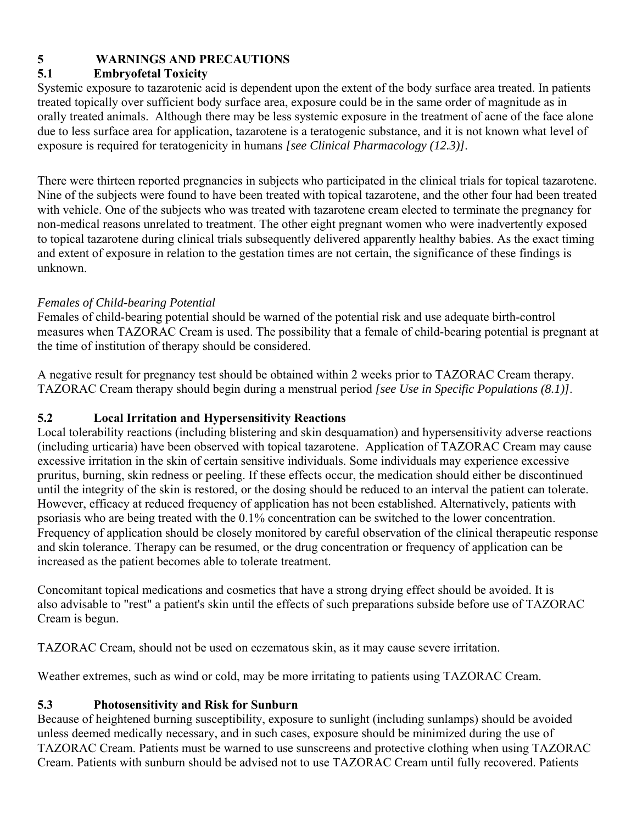## **5 WARNINGS AND PRECAUTIONS**

## **5.1 Embryofetal Toxicity**

Systemic exposure to tazarotenic acid is dependent upon the extent of the body surface area treated. In patients treated topically over sufficient body surface area, exposure could be in the same order of magnitude as in orally treated animals. Although there may be less systemic exposure in the treatment of acne of the face alone due to less surface area for application, tazarotene is a teratogenic substance, and it is not known what level of exposure is required for teratogenicity in humans *[see Clinical Pharmacology (12.3)]*.

There were thirteen reported pregnancies in subjects who participated in the clinical trials for topical tazarotene. Nine of the subjects were found to have been treated with topical tazarotene, and the other four had been treated with vehicle. One of the subjects who was treated with tazarotene cream elected to terminate the pregnancy for non-medical reasons unrelated to treatment. The other eight pregnant women who were inadvertently exposed to topical tazarotene during clinical trials subsequently delivered apparently healthy babies. As the exact timing and extent of exposure in relation to the gestation times are not certain, the significance of these findings is unknown.

## *Females of Child-bearing Potential*

Females of child-bearing potential should be warned of the potential risk and use adequate birth-control measures when TAZORAC Cream is used. The possibility that a female of child-bearing potential is pregnant at the time of institution of therapy should be considered.

A negative result for pregnancy test should be obtained within 2 weeks prior to TAZORAC Cream therapy. TAZORAC Cream therapy should begin during a menstrual period *[see Use in Specific Populations (8.1)]*.

## **5.2 Local Irritation and Hypersensitivity Reactions**

Local tolerability reactions (including blistering and skin desquamation) and hypersensitivity adverse reactions (including urticaria) have been observed with topical tazarotene. Application of TAZORAC Cream may cause excessive irritation in the skin of certain sensitive individuals. Some individuals may experience excessive pruritus, burning, skin redness or peeling. If these effects occur, the medication should either be discontinued until the integrity of the skin is restored, or the dosing should be reduced to an interval the patient can tolerate. However, efficacy at reduced frequency of application has not been established. Alternatively, patients with psoriasis who are being treated with the 0.1% concentration can be switched to the lower concentration. Frequency of application should be closely monitored by careful observation of the clinical therapeutic response and skin tolerance. Therapy can be resumed, or the drug concentration or frequency of application can be increased as the patient becomes able to tolerate treatment.

Concomitant topical medications and cosmetics that have a strong drying effect should be avoided. It is also advisable to "rest" a patient's skin until the effects of such preparations subside before use of TAZORAC Cream is begun.

TAZORAC Cream, should not be used on eczematous skin, as it may cause severe irritation.

Weather extremes, such as wind or cold, may be more irritating to patients using TAZORAC Cream.

## **5.3 Photosensitivity and Risk for Sunburn**

Because of heightened burning susceptibility, exposure to sunlight (including sunlamps) should be avoided unless deemed medically necessary, and in such cases, exposure should be minimized during the use of TAZORAC Cream. Patients must be warned to use sunscreens and protective clothing when using TAZORAC Cream. Patients with sunburn should be advised not to use TAZORAC Cream until fully recovered. Patients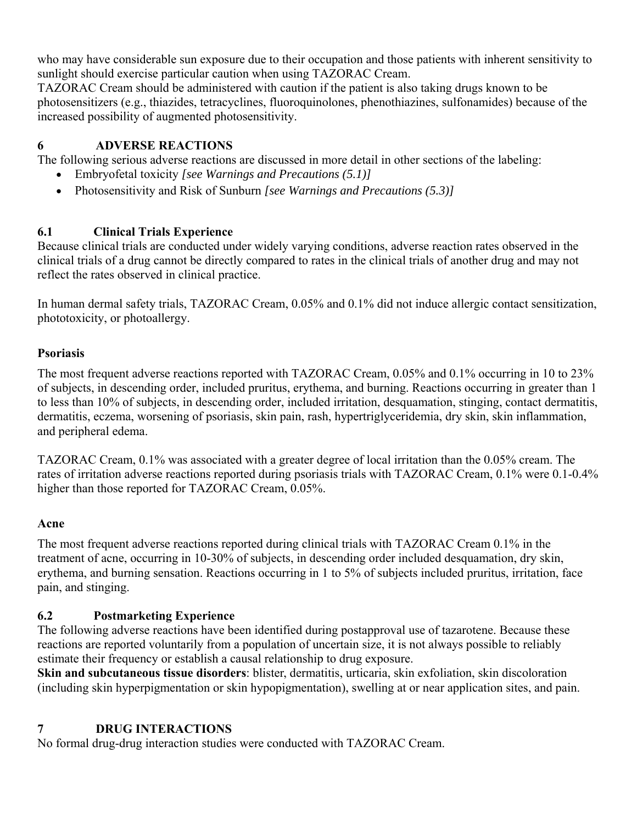who may have considerable sun exposure due to their occupation and those patients with inherent sensitivity to sunlight should exercise particular caution when using TAZORAC Cream.

TAZORAC Cream should be administered with caution if the patient is also taking drugs known to be photosensitizers (e.g., thiazides, tetracyclines, fluoroquinolones, phenothiazines, sulfonamides) because of the increased possibility of augmented photosensitivity.

## **6 ADVERSE REACTIONS**

The following serious adverse reactions are discussed in more detail in other sections of the labeling:

- Embryofetal toxicity *[see Warnings and Precautions (5.1)]*
- Photosensitivity and Risk of Sunburn *[see Warnings and Precautions (5.3)]*

## **6.1 Clinical Trials Experience**

Because clinical trials are conducted under widely varying conditions, adverse reaction rates observed in the clinical trials of a drug cannot be directly compared to rates in the clinical trials of another drug and may not reflect the rates observed in clinical practice.

In human dermal safety trials, TAZORAC Cream, 0.05% and 0.1% did not induce allergic contact sensitization, phototoxicity, or photoallergy.

## **Psoriasis**

The most frequent adverse reactions reported with TAZORAC Cream, 0.05% and 0.1% occurring in 10 to 23% of subjects, in descending order, included pruritus, erythema, and burning. Reactions occurring in greater than 1 to less than 10% of subjects, in descending order, included irritation, desquamation, stinging, contact dermatitis, dermatitis, eczema, worsening of psoriasis, skin pain, rash, hypertriglyceridemia, dry skin, skin inflammation, and peripheral edema.

TAZORAC Cream, 0.1% was associated with a greater degree of local irritation than the 0.05% cream. The rates of irritation adverse reactions reported during psoriasis trials with TAZORAC Cream, 0.1% were 0.1-0.4% higher than those reported for TAZORAC Cream, 0.05%.

## **Acne**

The most frequent adverse reactions reported during clinical trials with TAZORAC Cream 0.1% in the treatment of acne, occurring in 10-30% of subjects, in descending order included desquamation, dry skin, erythema, and burning sensation. Reactions occurring in 1 to 5% of subjects included pruritus, irritation, face pain, and stinging.

## **6.2 Postmarketing Experience**

The following adverse reactions have been identified during postapproval use of tazarotene. Because these reactions are reported voluntarily from a population of uncertain size, it is not always possible to reliably estimate their frequency or establish a causal relationship to drug exposure.

**Skin and subcutaneous tissue disorders**: blister, dermatitis, urticaria, skin exfoliation, skin discoloration (including skin hyperpigmentation or skin hypopigmentation), swelling at or near application sites, and pain.

## **7 DRUG INTERACTIONS**

No formal drug-drug interaction studies were conducted with TAZORAC Cream.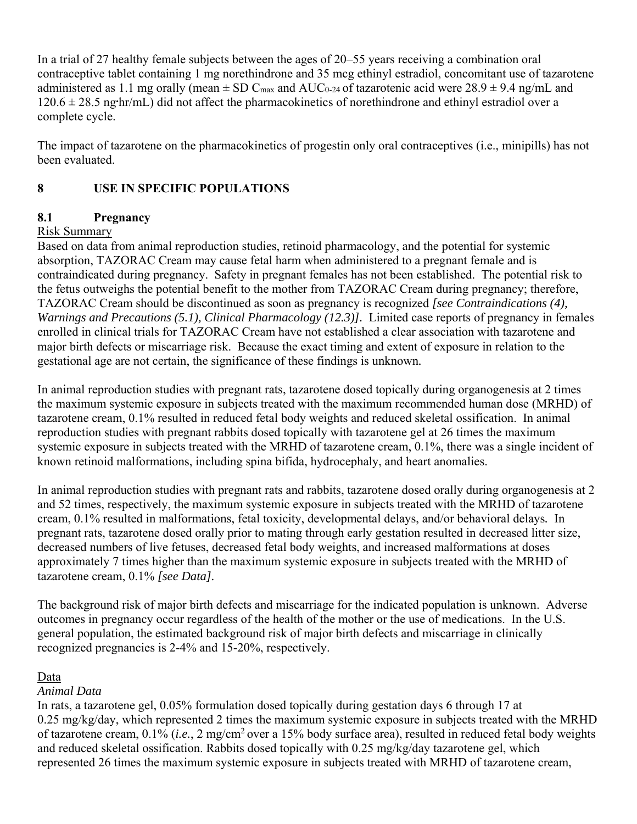In a trial of 27 healthy female subjects between the ages of 20–55 years receiving a combination oral contraceptive tablet containing 1 mg norethindrone and 35 mcg ethinyl estradiol, concomitant use of tazarotene administered as 1.1 mg orally (mean  $\pm$  SD C<sub>max</sub> and AUC<sub>0-24</sub> of tazarotenic acid were 28.9  $\pm$  9.4 ng/mL and  $120.6 \pm 28.5$  ng·hr/mL) did not affect the pharmacokinetics of norethindrone and ethinyl estradiol over a complete cycle.

The impact of tazarotene on the pharmacokinetics of progestin only oral contraceptives (i.e., minipills) has not been evaluated.

## **8 USE IN SPECIFIC POPULATIONS**

## **8.1 Pregnancy**

#### Risk Summary

 gestational age are not certain, the significance of these findings is unknown*.* Based on data from animal reproduction studies, retinoid pharmacology, and the potential for systemic absorption, TAZORAC Cream may cause fetal harm when administered to a pregnant female and is contraindicated during pregnancy. Safety in pregnant females has not been established. The potential risk to the fetus outweighs the potential benefit to the mother from TAZORAC Cream during pregnancy; therefore, TAZORAC Cream should be discontinued as soon as pregnancy is recognized *[see Contraindications (4), Warnings and Precautions (5.1), Clinical Pharmacology (12.3)].* Limited case reports of pregnancy in females enrolled in clinical trials for TAZORAC Cream have not established a clear association with tazarotene and major birth defects or miscarriage risk. Because the exact timing and extent of exposure in relation to the

In animal reproduction studies with pregnant rats, tazarotene dosed topically during organogenesis at 2 times the maximum systemic exposure in subjects treated with the maximum recommended human dose (MRHD) of tazarotene cream, 0.1% resulted in reduced fetal body weights and reduced skeletal ossification. In animal reproduction studies with pregnant rabbits dosed topically with tazarotene gel at 26 times the maximum systemic exposure in subjects treated with the MRHD of tazarotene cream, 0.1%, there was a single incident of known retinoid malformations, including spina bifida, hydrocephaly, and heart anomalies.

In animal reproduction studies with pregnant rats and rabbits, tazarotene dosed orally during organogenesis at 2 and 52 times, respectively, the maximum systemic exposure in subjects treated with the MRHD of tazarotene cream, 0.1% resulted in malformations, fetal toxicity, developmental delays, and/or behavioral delays*.* In pregnant rats, tazarotene dosed orally prior to mating through early gestation resulted in decreased litter size, decreased numbers of live fetuses, decreased fetal body weights, and increased malformations at doses approximately 7 times higher than the maximum systemic exposure in subjects treated with the MRHD of tazarotene cream, 0.1% *[see Data].* 

The background risk of major birth defects and miscarriage for the indicated population is unknown. Adverse outcomes in pregnancy occur regardless of the health of the mother or the use of medications. In the U.S. general population, the estimated background risk of major birth defects and miscarriage in clinically recognized pregnancies is 2-4% and 15-20%, respectively.

#### Data

#### *Animal Data*

In rats, a tazarotene gel, 0.05% formulation dosed topically during gestation days 6 through 17 at 0.25 mg/kg/day, which represented 2 times the maximum systemic exposure in subjects treated with the MRHD of tazarotene cream, 0.1% (*i.e.*, 2 mg/cm2 over a 15% body surface area), resulted in reduced fetal body weights and reduced skeletal ossification. Rabbits dosed topically with 0.25 mg/kg/day tazarotene gel, which represented 26 times the maximum systemic exposure in subjects treated with MRHD of tazarotene cream,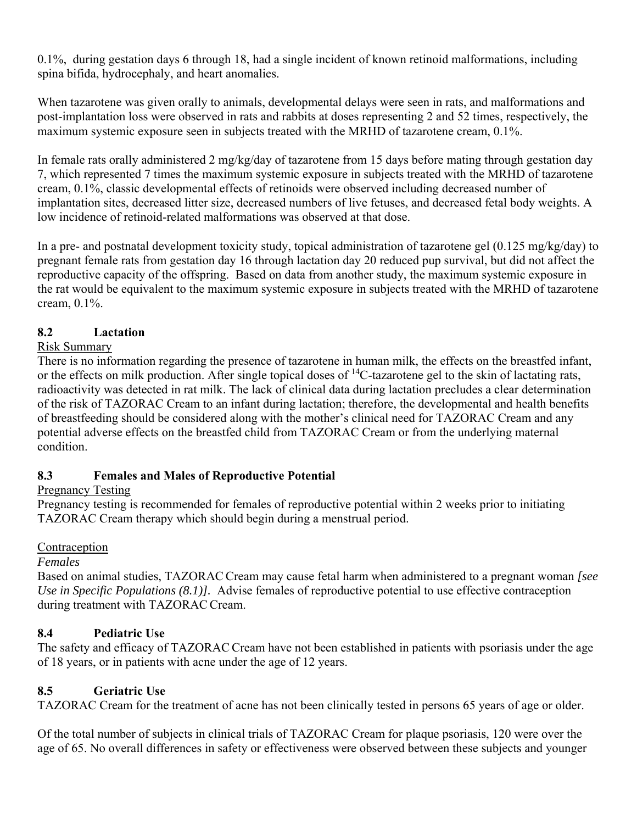0.1%, during gestation days 6 through 18, had a single incident of known retinoid malformations, including spina bifida, hydrocephaly, and heart anomalies.

When tazarotene was given orally to animals, developmental delays were seen in rats, and malformations and post-implantation loss were observed in rats and rabbits at doses representing 2 and 52 times, respectively, the maximum systemic exposure seen in subjects treated with the MRHD of tazarotene cream, 0.1%.

In female rats orally administered 2 mg/kg/day of tazarotene from 15 days before mating through gestation day 7, which represented 7 times the maximum systemic exposure in subjects treated with the MRHD of tazarotene cream, 0.1%, classic developmental effects of retinoids were observed including decreased number of implantation sites, decreased litter size, decreased numbers of live fetuses, and decreased fetal body weights. A low incidence of retinoid-related malformations was observed at that dose.

In a pre- and postnatal development toxicity study, topical administration of tazarotene gel (0.125 mg/kg/day) to pregnant female rats from gestation day 16 through lactation day 20 reduced pup survival, but did not affect the reproductive capacity of the offspring. Based on data from another study, the maximum systemic exposure in the rat would be equivalent to the maximum systemic exposure in subjects treated with the MRHD of tazarotene cream, 0.1%.

## **8.2 Lactation**

#### Risk Summary

There is no information regarding the presence of tazarotene in human milk, the effects on the breastfed infant, or the effects on milk production. After single topical doses of  ${}^{14}C$ -tazarotene gel to the skin of lactating rats, radioactivity was detected in rat milk. The lack of clinical data during lactation precludes a clear determination of the risk of TAZORAC Cream to an infant during lactation; therefore, the developmental and health benefits of breastfeeding should be considered along with the mother's clinical need for TAZORAC Cream and any potential adverse effects on the breastfed child from TAZORAC Cream or from the underlying maternal condition.

## **8.3 Females and Males of Reproductive Potential**

## Pregnancy Testing

Pregnancy testing is recommended for females of reproductive potential within 2 weeks prior to initiating TAZORAC Cream therapy which should begin during a menstrual period.

## Contraception

## *Females*

Based on animal studies, TAZORAC Cream may cause fetal harm when administered to a pregnant woman *[see Use in Specific Populations (8.1)].* Advise females of reproductive potential to use effective contraception during treatment with TAZORAC Cream.

## **8.4 Pediatric Use**

The safety and efficacy of TAZORAC Cream have not been established in patients with psoriasis under the age of 18 years, or in patients with acne under the age of 12 years.

## **8.5 Geriatric Use**

TAZORAC Cream for the treatment of acne has not been clinically tested in persons 65 years of age or older.

Of the total number of subjects in clinical trials of TAZORAC Cream for plaque psoriasis, 120 were over the age of 65. No overall differences in safety or effectiveness were observed between these subjects and younger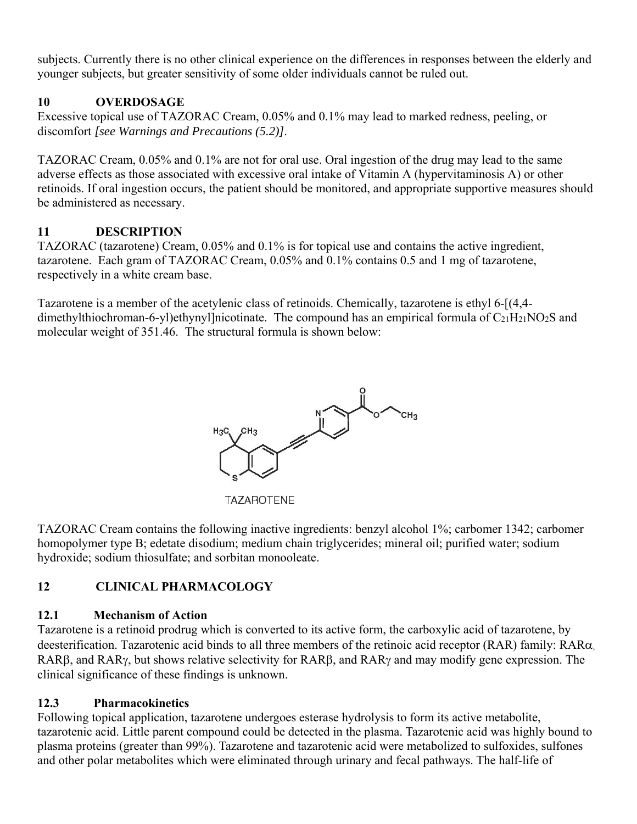subjects. Currently there is no other clinical experience on the differences in responses between the elderly and younger subjects, but greater sensitivity of some older individuals cannot be ruled out.

## **10 OVERDOSAGE**

Excessive topical use of TAZORAC Cream, 0.05% and 0.1% may lead to marked redness, peeling, or discomfort *[see Warnings and Precautions (5.2)]*.

TAZORAC Cream, 0.05% and 0.1% are not for oral use. Oral ingestion of the drug may lead to the same adverse effects as those associated with excessive oral intake of Vitamin A (hypervitaminosis A) or other retinoids. If oral ingestion occurs, the patient should be monitored, and appropriate supportive measures should be administered as necessary.

## **11 DESCRIPTION**

TAZORAC (tazarotene) Cream, 0.05% and 0.1% is for topical use and contains the active ingredient, tazarotene. Each gram of TAZORAC Cream, 0.05% and 0.1% contains 0.5 and 1 mg of tazarotene, respectively in a white cream base.

Tazarotene is a member of the acetylenic class of retinoids. Chemically, tazarotene is ethyl 6-[(4,4 dimethylthiochroman-6-yl)ethynyl]nicotinate. The compound has an empirical formula of  $C_{21}H_{21}NO_2S$  and molecular weight of 351.46. The structural formula is shown below:



**TAZAROTENE** 

TAZORAC Cream contains the following inactive ingredients: benzyl alcohol 1%; carbomer 1342; carbomer homopolymer type B; edetate disodium; medium chain triglycerides; mineral oil; purified water; sodium hydroxide; sodium thiosulfate; and sorbitan monooleate.

# **12 CLINICAL PHARMACOLOGY**

## **12.1 Mechanism of Action**

deesterification. Tazarotenic acid binds to all three members of the retinoic acid receptor (RAR) family:  $RAR\alpha$ , Tazarotene is a retinoid prodrug which is converted to its active form, the carboxylic acid of tazarotene, by RAR $\beta$ , and RAR $\gamma$ , but shows relative selectivity for RAR $\beta$ , and RAR $\gamma$  and may modify gene expression. The clinical significance of these findings is unknown.

## **12.3 Pharmacokinetics**

Following topical application, tazarotene undergoes esterase hydrolysis to form its active metabolite, tazarotenic acid. Little parent compound could be detected in the plasma. Tazarotenic acid was highly bound to plasma proteins (greater than 99%). Tazarotene and tazarotenic acid were metabolized to sulfoxides, sulfones and other polar metabolites which were eliminated through urinary and fecal pathways. The half-life of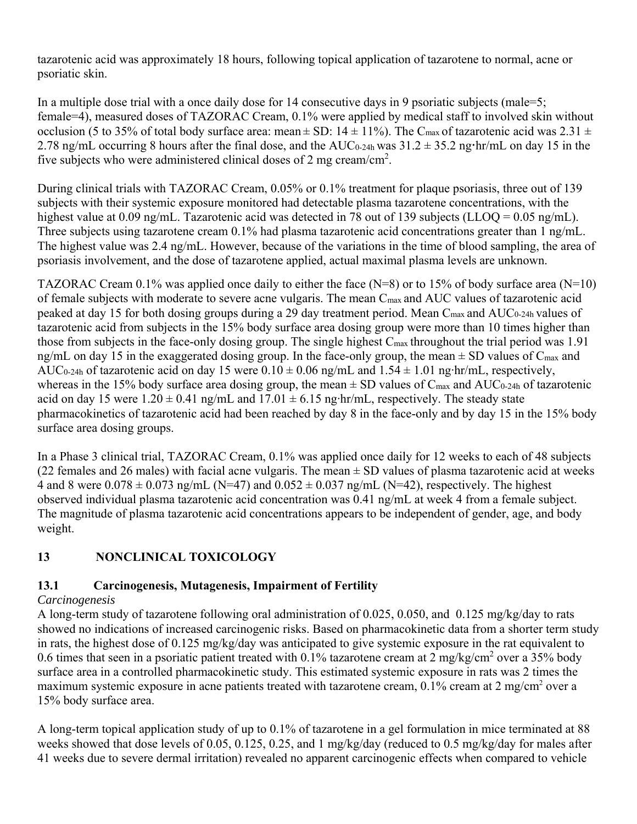tazarotenic acid was approximately 18 hours, following topical application of tazarotene to normal, acne or psoriatic skin.

In a multiple dose trial with a once daily dose for 14 consecutive days in 9 psoriatic subjects (male=5; female=4), measured doses of TAZORAC Cream, 0.1% were applied by medical staff to involved skin without occlusion (5 to 35% of total body surface area: mean  $\pm$  SD: 14  $\pm$  11%). The C<sub>max</sub> of tazarotenic acid was 2.31  $\pm$ 2.78 ng/mL occurring 8 hours after the final dose, and the AUC<sub>0-24h</sub> was  $31.2 \pm 35.2$  ng·hr/mL on day 15 in the five subjects who were administered clinical doses of 2 mg cream/cm<sup>2</sup>.

During clinical trials with TAZORAC Cream, 0.05% or 0.1% treatment for plaque psoriasis, three out of 139 subjects with their systemic exposure monitored had detectable plasma tazarotene concentrations, with the highest value at 0.09 ng/mL. Tazarotenic acid was detected in 78 out of 139 subjects (LLOQ = 0.05 ng/mL). Three subjects using tazarotene cream 0.1% had plasma tazarotenic acid concentrations greater than 1 ng/mL. The highest value was 2.4 ng/mL. However, because of the variations in the time of blood sampling, the area of psoriasis involvement, and the dose of tazarotene applied, actual maximal plasma levels are unknown.

TAZORAC Cream 0.1% was applied once daily to either the face ( $N=8$ ) or to 15% of body surface area ( $N=10$ ) of female subjects with moderate to severe acne vulgaris. The mean Cmax and AUC values of tazarotenic acid peaked at day 15 for both dosing groups during a 29 day treatment period. Mean C<sub>max</sub> and AUC<sub>0-24h</sub> values of tazarotenic acid from subjects in the 15% body surface area dosing group were more than 10 times higher than those from subjects in the face-only dosing group. The single highest Cmax throughout the trial period was 1.91 ng/mL on day 15 in the exaggerated dosing group. In the face-only group, the mean  $\pm$  SD values of C<sub>max</sub> and AUC<sub>0-24h</sub> of tazarotenic acid on day 15 were  $0.10 \pm 0.06$  ng/mL and  $1.54 \pm 1.01$  ng⋅hr/mL, respectively, whereas in the 15% body surface area dosing group, the mean  $\pm$  SD values of C<sub>max</sub> and AUC<sub>0-24h</sub> of tazarotenic acid on day 15 were  $1.20 \pm 0.41$  ng/mL and  $17.01 \pm 6.15$  ng⋅hr/mL, respectively. The steady state pharmacokinetics of tazarotenic acid had been reached by day 8 in the face-only and by day 15 in the 15% body surface area dosing groups.

In a Phase 3 clinical trial, TAZORAC Cream, 0.1% was applied once daily for 12 weeks to each of 48 subjects (22 females and 26 males) with facial acne vulgaris. The mean  $\pm$  SD values of plasma tazarotenic acid at weeks 4 and 8 were  $0.078 \pm 0.073$  ng/mL (N=47) and  $0.052 \pm 0.037$  ng/mL (N=42), respectively. The highest observed individual plasma tazarotenic acid concentration was 0.41 ng/mL at week 4 from a female subject. The magnitude of plasma tazarotenic acid concentrations appears to be independent of gender, age, and body weight.

## **13 NONCLINICAL TOXICOLOGY**

## **13.1 Carcinogenesis, Mutagenesis, Impairment of Fertility**

#### *Carcinogenesis*

A long-term study of tazarotene following oral administration of 0.025, 0.050, and 0.125 mg/kg/day to rats showed no indications of increased carcinogenic risks. Based on pharmacokinetic data from a shorter term study in rats, the highest dose of 0.125 mg/kg/day was anticipated to give systemic exposure in the rat equivalent to 0.6 times that seen in a psoriatic patient treated with 0.1% tazarotene cream at 2 mg/kg/cm<sup>2</sup> over a 35% body surface area in a controlled pharmacokinetic study. This estimated systemic exposure in rats was 2 times the maximum systemic exposure in acne patients treated with tazarotene cream,  $0.1\%$  cream at 2 mg/cm<sup>2</sup> over a 15% body surface area.

A long-term topical application study of up to 0.1% of tazarotene in a gel formulation in mice terminated at 88 weeks showed that dose levels of 0.05, 0.125, 0.25, and 1 mg/kg/day (reduced to 0.5 mg/kg/day for males after 41 weeks due to severe dermal irritation) revealed no apparent carcinogenic effects when compared to vehicle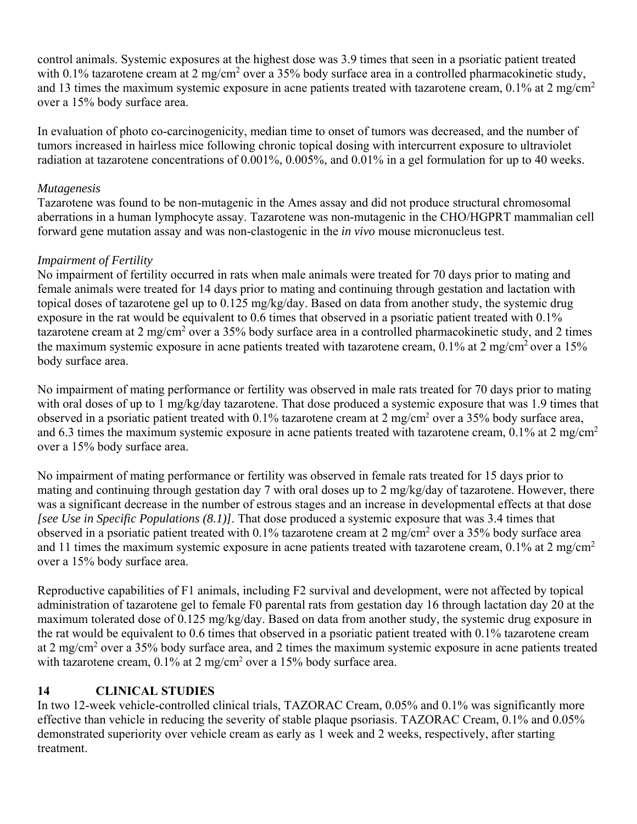control animals. Systemic exposures at the highest dose was 3.9 times that seen in a psoriatic patient treated with 0.1% tazarotene cream at 2 mg/cm<sup>2</sup> over a 35% body surface area in a controlled pharmacokinetic study, and 13 times the maximum systemic exposure in acne patients treated with tazarotene cream,  $0.1\%$  at  $2 \text{ mg/cm}^2$ over a 15% body surface area.

In evaluation of photo co-carcinogenicity, median time to onset of tumors was decreased, and the number of tumors increased in hairless mice following chronic topical dosing with intercurrent exposure to ultraviolet radiation at tazarotene concentrations of 0.001%, 0.005%, and 0.01% in a gel formulation for up to 40 weeks.

#### *Mutagenesis*

Tazarotene was found to be non-mutagenic in the Ames assay and did not produce structural chromosomal aberrations in a human lymphocyte assay. Tazarotene was non-mutagenic in the CHO/HGPRT mammalian cell forward gene mutation assay and was non-clastogenic in the *in vivo* mouse micronucleus test.

#### *Impairment of Fertility*

No impairment of fertility occurred in rats when male animals were treated for 70 days prior to mating and female animals were treated for 14 days prior to mating and continuing through gestation and lactation with topical doses of tazarotene gel up to 0.125 mg/kg/day. Based on data from another study, the systemic drug exposure in the rat would be equivalent to 0.6 times that observed in a psoriatic patient treated with 0.1% tazarotene cream at 2 mg/cm<sup>2</sup> over a 35% body surface area in a controlled pharmacokinetic study, and 2 times the maximum systemic exposure in acne patients treated with tazarotene cream, 0.1% at 2 mg/cm<sup>2</sup> over a 15% body surface area.

No impairment of mating performance or fertility was observed in male rats treated for 70 days prior to mating with oral doses of up to 1 mg/kg/day tazarotene. That dose produced a systemic exposure that was 1.9 times that observed in a psoriatic patient treated with 0.1% tazarotene cream at 2 mg/cm<sup>2</sup> over a 35% body surface area, and 6.3 times the maximum systemic exposure in acne patients treated with tazarotene cream,  $0.1\%$  at  $2 \text{ mg/cm}^2$ over a 15% body surface area.

No impairment of mating performance or fertility was observed in female rats treated for 15 days prior to mating and continuing through gestation day 7 with oral doses up to 2 mg/kg/day of tazarotene. However, there was a significant decrease in the number of estrous stages and an increase in developmental effects at that dose *[see Use in Specific Populations (8.1)]*. That dose produced a systemic exposure that was 3.4 times that observed in a psoriatic patient treated with 0.1% tazarotene cream at 2 mg/cm<sup>2</sup> over a 35% body surface area and 11 times the maximum systemic exposure in acne patients treated with tazarotene cream,  $0.1\%$  at 2 mg/cm<sup>2</sup> over a 15% body surface area.

Reproductive capabilities of F1 animals, including F2 survival and development, were not affected by topical administration of tazarotene gel to female F0 parental rats from gestation day 16 through lactation day 20 at the maximum tolerated dose of 0.125 mg/kg/day. Based on data from another study, the systemic drug exposure in the rat would be equivalent to 0.6 times that observed in a psoriatic patient treated with 0.1% tazarotene cream at 2 mg/cm<sup>2</sup> over a 35% body surface area, and 2 times the maximum systemic exposure in acne patients treated with tazarotene cream,  $0.1\%$  at 2 mg/cm<sup>2</sup> over a 15% body surface area.

#### **CLINICAL STUDIES 14**

In two 12-week vehicle-controlled clinical trials, TAZORAC Cream, 0.05% and 0.1% was significantly more effective than vehicle in reducing the severity of stable plaque psoriasis. TAZORAC Cream, 0.1% and 0.05% demonstrated superiority over vehicle cream as early as 1 week and 2 weeks, respectively, after starting treatment.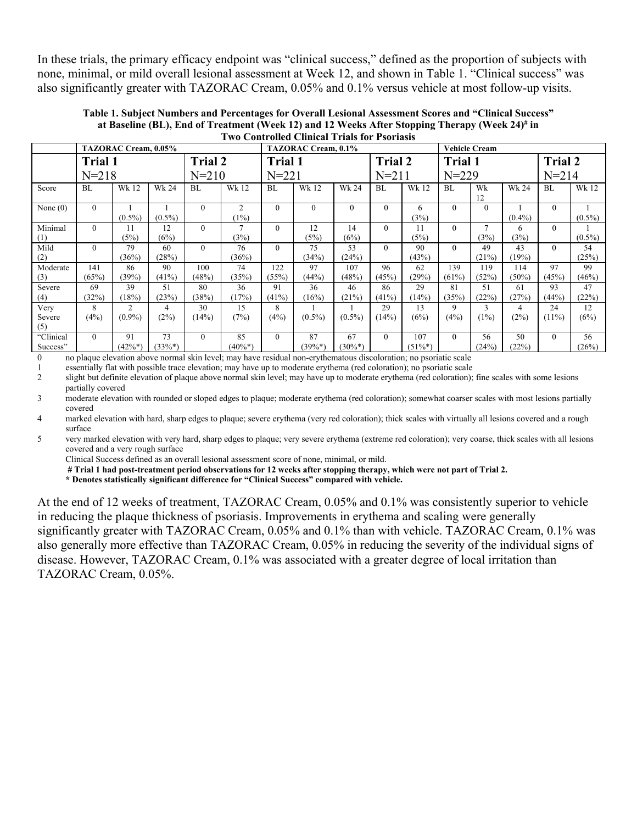In these trials, the primary efficacy endpoint was "clinical success," defined as the proportion of subjects with none, minimal, or mild overall lesional assessment at Week 12, and shown in Table 1. "Clinical success" was also significantly greater with TAZORAC Cream, 0.05% and 0.1% versus vehicle at most follow-up visits.

**Table 1. Subject Numbers and Percentages for Overall Lesional Assessment Scores and "Clinical Success"** at Baseline (BL), End of Treatment (Week 12) and 12 Weeks After Stopping Therapy (Week 24)<sup>#</sup> in **Two Controlled Clinical Trials for Psoriasis** 

| $C1$ $C2$ $C3$ $C4$ $C5$ $C6$ $C7$ $C8$ $C9$ $C1$ $C1$ $C1$ $C1$ $C1$ |                                                                                                                  |           |              |                |                |                     |           |              |                |              |                |          |              |                |           |  |
|-----------------------------------------------------------------------|------------------------------------------------------------------------------------------------------------------|-----------|--------------|----------------|----------------|---------------------|-----------|--------------|----------------|--------------|----------------|----------|--------------|----------------|-----------|--|
|                                                                       | TAZORAC Cream, 0.05%                                                                                             |           |              |                |                | TAZORAC Cream, 0.1% |           |              |                |              | Vehicle Cream  |          |              |                |           |  |
|                                                                       | <b>Trial 1</b>                                                                                                   |           |              | <b>Trial 2</b> |                | <b>Trial 1</b>      |           |              | <b>Trial 2</b> |              | <b>Trial 1</b> |          |              | <b>Trial 2</b> |           |  |
|                                                                       | $N = 218$                                                                                                        |           |              | $N = 210$      |                | $N = 221$           |           |              | $N = 211$      |              | $N = 229$      |          |              | $N = 214$      |           |  |
| Score                                                                 | BL                                                                                                               | Wk 12     | <b>Wk 24</b> | BL             | Wk 12          | BL                  | Wk 12     | <b>Wk 24</b> | BL             | <b>Wk 12</b> | BL             | Wk<br>12 | <b>Wk 24</b> | BL             | Wk 12     |  |
| None $(0)$                                                            | $\Omega$                                                                                                         |           |              | $\theta$       | $\overline{c}$ | 0                   | $\theta$  | $\Omega$     | $\theta$       | 6            | $\Omega$       | $\Omega$ |              | $\theta$       |           |  |
|                                                                       |                                                                                                                  | $(0.5\%)$ | $(0.5\%)$    |                | (1%)           |                     |           |              |                | (3%)         |                |          | $(0.4\%)$    |                | $(0.5\%)$ |  |
| Minimal                                                               | $\Omega$                                                                                                         | 11        | 12           | $\theta$       |                | 0                   | 12        | 14           | $\Omega$       | 11           | $\Omega$       | 7        | 6            | $\theta$       |           |  |
| (1)                                                                   |                                                                                                                  | (5%)      | (6%)         |                | (3%)           |                     | (5%)      | (6%)         |                | (5%)         |                | (3%)     | (3%)         |                | $(0.5\%)$ |  |
| Mild                                                                  | $\Omega$                                                                                                         | 79        | 60           | $\overline{0}$ | 76             | 0                   | 75        | 53           | $\Omega$       | 90           | $\Omega$       | 49       | 43           | $\theta$       | 54        |  |
| (2)                                                                   |                                                                                                                  | (36%)     | (28%)        |                | (36%)          |                     | (34%)     | (24%)        |                | (43%)        |                | (21%)    | (19%)        |                | (25%)     |  |
| Moderate                                                              | 141                                                                                                              | 86        | 90           | 100            | 74             | 122                 | 97        | 107          | 96             | 62           | 139            | 119      | 114          | 97             | 99        |  |
| (3)                                                                   | (65%)                                                                                                            | (39%)     | (41%)        | (48%)          | (35%)          | (55%)               | (44%)     | (48%)        | (45%)          | (29%)        | (61%)          | (52%)    | $(50\%)$     | (45%)          | (46%)     |  |
| Severe                                                                | 69                                                                                                               | 39        | 51           | 80             | 36             | 91                  | 36        | 46           | 86             | 29           | 81             | 51       | -61          | 93             | 47        |  |
| (4)                                                                   | (32%)                                                                                                            | (18%)     | (23%)        | (38%)          | (17%)          | (41%)               | (16%)     | (21%)        | $(41\%)$       | (14%)        | (35%)          | (22%)    | (27%)        | (44%)          | (22%)     |  |
| Very                                                                  | 8                                                                                                                | 2         | 4            | 30             | 15             | 8                   |           |              | 29             | 13           | 9              |          | 4            | 24             | 12        |  |
| Severe                                                                | (4%)                                                                                                             | $(0.9\%)$ | (2%)         | (14%)          | (7%)           | (4%)                | $(0.5\%)$ | $(0.5\%)$    | (14%)          | (6%)         | (4%)           | (1%)     | (2%)         | $(11\%)$       | (6%)      |  |
| (5)                                                                   |                                                                                                                  |           |              |                |                |                     |           |              |                |              |                |          |              |                |           |  |
| "Clinical                                                             | $\Omega$                                                                                                         | 91        | 73           | $\theta$       | 85             | 0                   | 87        | 67           | $\theta$       | 107          | 0              | 56       | 50           | $\theta$       | 56        |  |
| Success"                                                              |                                                                                                                  | $(42\%*)$ | $(33\%*)$    |                | $(40\%*)$      |                     | $(39\%*)$ | $(30\%*)$    |                | $(51\%*)$    |                | (24%)    | (22%)        |                | (26%)     |  |
| $\Omega$                                                              | no placual devetion obove normal algundaria pove hove recidual non orgithemeteve dissolverieni no necritie socie |           |              |                |                |                     |           |              |                |              |                |          |              |                |           |  |

0 no plaque elevation above normal skin level; may have residual non-erythematous discoloration; no psoriatic scale 1 essentially flat with possible trace elevation; may have up to moderate erythema (red coloration); no psoriatic scale

2 slight but definite elevation of plaque above normal skin level; may have up to moderate erythema (red coloration); fine scales with some lesions partially covered

3 moderate elevation with rounded or sloped edges to plaque; moderate erythema (red coloration); somewhat coarser scales with most lesions partially covered

 4 marked elevation with hard, sharp edges to plaque; severe erythema (very red coloration); thick scales with virtually all lesions covered and a rough surface

5 very marked elevation with very hard, sharp edges to plaque; very severe erythema (extreme red coloration); very coarse, thick scales with all lesions covered and a very rough surface

Clinical Success defined as an overall lesional assessment score of none, minimal, or mild.

**# Trial 1 had post-treatment period observations for 12 weeks after stopping therapy, which were not part of Trial 2.** 

**\* Denotes statistically significant difference for "Clinical Success" compared with vehicle.** 

At the end of 12 weeks of treatment, TAZORAC Cream, 0.05% and 0.1% was consistently superior to vehicle in reducing the plaque thickness of psoriasis. Improvements in erythema and scaling were generally significantly greater with TAZORAC Cream, 0.05% and 0.1% than with vehicle. TAZORAC Cream, 0.1% was also generally more effective than TAZORAC Cream, 0.05% in reducing the severity of the individual signs of disease. However, TAZORAC Cream, 0.1% was associated with a greater degree of local irritation than TAZORAC Cream, 0.05%.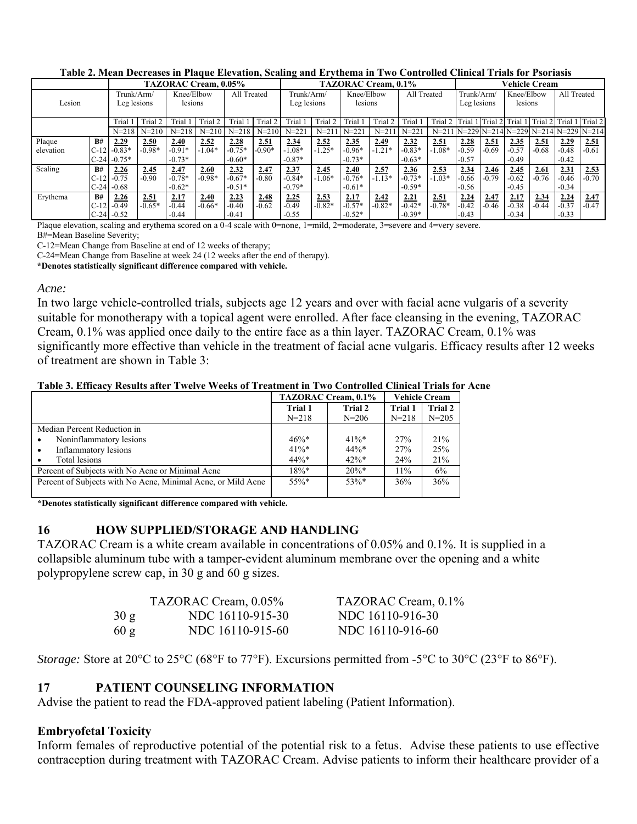| TAZORAC Cream, 0.05% |        |                 |             |           | TAZORAC Cream, 0.1%       |           |             |             |          |            | Vehicle Cream |             |             |             |         |                         |                                           |             |         |
|----------------------|--------|-----------------|-------------|-----------|---------------------------|-----------|-------------|-------------|----------|------------|---------------|-------------|-------------|-------------|---------|-------------------------|-------------------------------------------|-------------|---------|
|                      |        | Trunk/Arm/      |             |           | All Treated<br>Knee/Elbow |           | Trunk/Arm/  |             |          | Knee/Elbow |               | All Treated |             | Trunk/Arm/  |         | Knee/Elbow              |                                           | All Treated |         |
| Lesion               |        | Leg lesions     |             | lesions   |                           |           |             | Leg lesions |          | lesions    |               |             |             | Leg lesions |         | lesions                 |                                           |             |         |
|                      |        | Trial           | Trial 2     | Trial 1   | Trial 2                   | Trial     | Trial 2     | Trial 1     | Trial 2  | Trial      | Trial 2       | Trial 1     | Trial 2     |             |         | Trial 1 Trial 2 Trial 1 | Trial 2 Trial 1 Trial 2                   |             |         |
|                      |        | $N = 218$       | $N = 210$   | $N = 218$ | $N = 210$                 | $N = 218$ | $N = 210$   | $N = 221$   | $N = 21$ | $N = 221$  | $N = 211$     | $N = 221$   |             |             |         |                         | N=211 N=229 N=214 N=229 N=214 N=229 N=214 |             |         |
| Plaque               | B#     | 2.29            | 2.50        | 2.40      | 2.52                      | 2.28      | 2.51        | 2.34        | 2.52     | 2.35       | 2.49          | 2.32        | 2.51        | 2.28        | 2.51    | 2.35                    | 2.51                                      | 2.29        | 2.51    |
| elevation            | C-12   | $-0.83*$        | $-0.98*$    | $-0.91*$  | $-1.04*$                  | $-0.75*$  | $-0.90*$    | $-1.08*$    | $-1.25*$ | $-0.96*$   | $-1.21*$      | $-0.83*$    | $-1.08*$    | $-0.59$     | $-0.69$ | $-0.57$                 | $-0.68$                                   | $-0.48$     | $-0.61$ |
|                      |        | $C-24$ $-0.75*$ |             | $-0.73*$  |                           | $-0.60*$  |             | $-0.87*$    |          | $-0.73*$   |               | $-0.63*$    |             | $-0.57$     |         | $-0.49$                 |                                           | $-0.42$     |         |
| Scaling              | B#     | 2.26            | <u>2.45</u> | 2.47      | 2.60                      | 2.32      | <u>2.47</u> | 2.37        | 2.45     | 2.40       | 2.57          | 2.36        | 2.53        | 2.34        | 2.46    | 2.45                    | <u>2.61</u>                               | 2.31        | 2.53    |
|                      | $C-12$ | $-0.75$         | $-0.90$     | $-0.78*$  | $-0.98*$                  | $-0.67*$  | $-0.80$     | $-0.84*$    | $-1.06*$ | $-0.76*$   | $-1.13*$      | $-0.73*$    | $-1.03*$    | $-0.66$     | $-0.79$ | $-0.62$                 | $-0.76$                                   | $-0.46$     | $-0.70$ |
|                      |        | $C-24$ $-0.68$  |             | $-0.62*$  |                           | $-0.51*$  |             | $-0.79*$    |          | $-0.61*$   |               | $-0.59*$    |             | $-0.56$     |         | $-0.45$                 |                                           | $-0.34$     |         |
| Erythema             | B#     | 2.26            | <u>2.51</u> | 2.17      | 2.40                      | 2.23      | <u>2.48</u> | 2.25        | 2.53     | 2.17       | 2.42          | 2.21        | <u>2.51</u> | <u>2.24</u> | 2.47    | 2.17                    | <u>2.34</u>                               | 2.24        | 2.47    |
|                      | $C-12$ | $-0.49$         | $-0.65*$    | $-0.44$   | $-0.66*$                  | $-0.40$   | $-0.62$     | $-0.49$     | $-0.82*$ | $-0.57*$   | $-0.82*$      | $-0.42*$    | $-0.78*$    | $-0.42$     | $-0.46$ | $-0.38$                 | $-0.44$                                   | $-0.37$     | $-0.47$ |
|                      |        | $C-24$ $-0.52$  |             | $-0.44$   |                           | $-0.41$   |             | $-0.55$     |          | $-0.52*$   |               | $-0.39*$    |             | $-0.43$     |         | $-0.34$                 |                                           | $-0.33$     |         |

**Table 2. Mean Decreases in Plaque Elevation, Scaling and Erythema in Two Controlled Clinical Trials for Psoriasis** 

Plaque elevation, scaling and erythema scored on a 0-4 scale with 0=none, 1=mild, 2=moderate, 3=severe and 4=very severe. B#=Mean Baseline Severity;

C-12=Mean Change from Baseline at end of 12 weeks of therapy;

C-24=Mean Change from Baseline at week 24 (12 weeks after the end of therapy).

**\*Denotes statistically significant difference compared with vehicle.** 

#### *Acne:*

In two large vehicle-controlled trials, subjects age 12 years and over with facial acne vulgaris of a severity suitable for monotherapy with a topical agent were enrolled. After face cleansing in the evening, TAZORAC Cream, 0.1% was applied once daily to the entire face as a thin layer. TAZORAC Cream, 0.1% was significantly more effective than vehicle in the treatment of facial acne vulgaris. Efficacy results after 12 weeks of treatment are shown in Table 3:

#### **Table 3. Efficacy Results after Twelve Weeks of Treatment in Two Controlled Clinical Trials for Acne**

|                                                              | TAZORAC Cream, 0.1% |                |           | <b>Vehicle Cream</b> |
|--------------------------------------------------------------|---------------------|----------------|-----------|----------------------|
|                                                              | <b>Trial 1</b>      | <b>Trial 2</b> | Trial 1   | <b>Trial 2</b>       |
|                                                              | $N = 218$           | $N = 206$      | $N = 218$ | $N = 205$            |
| Median Percent Reduction in                                  |                     |                |           |                      |
| Noninflammatory lesions<br>٠                                 | $46\%*$             | $41\%*$        | 27%       | 21%                  |
| Inflammatory lesions                                         | $41\%*$             | $44\%*$        | 27%       | 25%                  |
| Total lesions<br>$\bullet$                                   | $44\%*$             | $42\%*$        | 24%       | 21%                  |
| Percent of Subjects with No Acne or Minimal Acne             | $18\%*$             | $20\%*$        | $11\%$    | 6%                   |
| Percent of Subjects with No Acne, Minimal Acne, or Mild Acne | $55\%*$             | $53\%*$        | 36%       | 36%                  |
|                                                              |                     |                |           |                      |

**\*Denotes statistically significant difference compared with vehicle.** 

#### **16 HOW SUPPLIED/STORAGE AND HANDLING**

TAZORAC Cream is a white cream available in concentrations of 0.05% and 0.1%. It is supplied in a collapsible aluminum tube with a tamper-evident aluminum membrane over the opening and a white polypropylene screw cap, in 30 g and 60 g sizes.

|      | TAZORAC Cream, 0.05% | TAZORAC Cream, 0.1% |
|------|----------------------|---------------------|
| 30 g | NDC 16110-915-30     | NDC 16110-916-30    |
| 60 g | NDC 16110-915-60     | NDC 16110-916-60    |

*Storage:* Store at 20°C to 25°C (68°F to 77°F). Excursions permitted from -5°C to 30°C (23°F to 86°F).

#### **PATIENT COUNSELING INFORMATION 17**

Advise the patient to read the FDA-approved patient labeling (Patient Information).

#### **Embryofetal Toxicity**

Inform females of reproductive potential of the potential risk to a fetus. Advise these patients to use effective contraception during treatment with TAZORAC Cream. Advise patients to inform their healthcare provider of a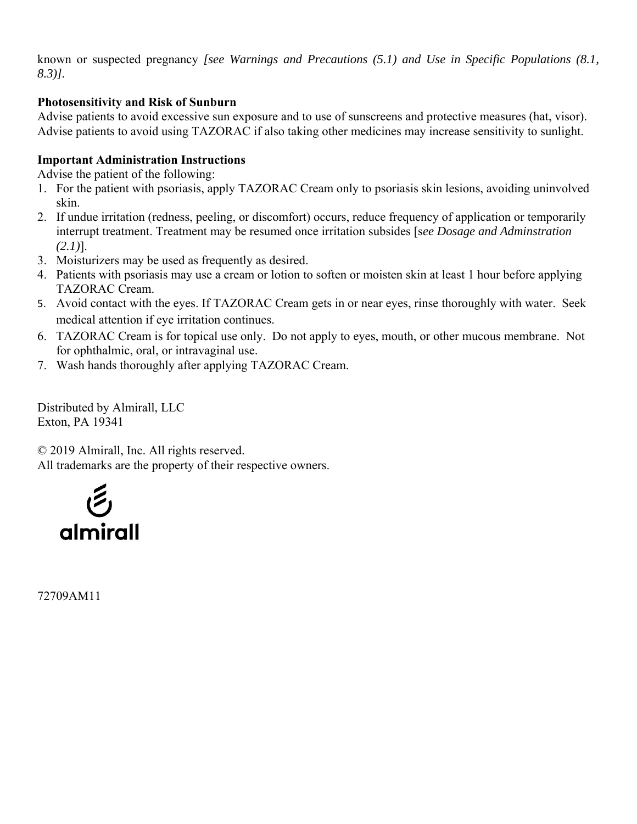known or suspected pregnancy *[see Warnings and Precautions (5.1) and Use in Specific Populations (8.1, 8.3)].* 

#### **Photosensitivity and Risk of Sunburn**

Advise patients to avoid excessive sun exposure and to use of sunscreens and protective measures (hat, visor). Advise patients to avoid using TAZORAC if also taking other medicines may increase sensitivity to sunlight.

#### **Important Administration Instructions**

Advise the patient of the following:

- 1. For the patient with psoriasis, apply TAZORAC Cream only to psoriasis skin lesions, avoiding uninvolved skin.
- 2. If undue irritation (redness, peeling, or discomfort) occurs, reduce frequency of application or temporarily interrupt treatment. Treatment may be resumed once irritation subsides [s*ee Dosage and Adminstration (2.1)*].
- 3. Moisturizers may be used as frequently as desired.
- 4. Patients with psoriasis may use a cream or lotion to soften or moisten skin at least 1 hour before applying TAZORAC Cream.
- 5. Avoid contact with the eyes. If TAZORAC Cream gets in or near eyes, rinse thoroughly with water. Seek medical attention if eye irritation continues.
- 6. TAZORAC Cream is for topical use only. Do not apply to eyes, mouth, or other mucous membrane. Not for ophthalmic, oral, or intravaginal use.
- 7. Wash hands thoroughly after applying TAZORAC Cream.

Distributed by Almirall, LLC Exton, PA 19341

© 2019 Almirall, Inc. All rights reserved. All trademarks are the property of their respective owners.



72709AM11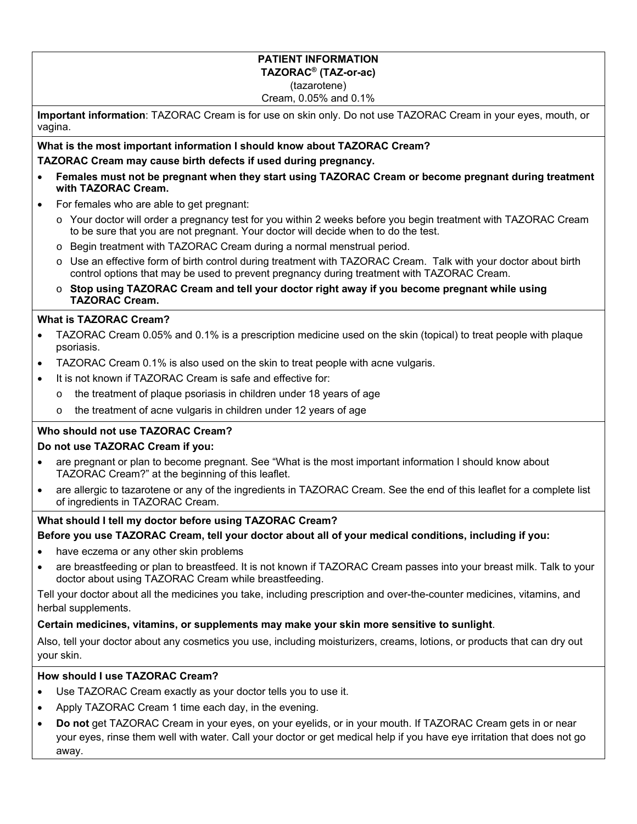#### **PATIENT INFORMATION TAZORAC® (TAZ-or-ac)**

#### (tazarotene)

#### Cream, 0.05% and 0.1%

**Important information**: TAZORAC Cream is for use on skin only. Do not use TAZORAC Cream in your eyes, mouth, or vagina.

**What is the most important information I should know about TAZORAC Cream? TAZORAC Cream may cause birth defects if used during pregnancy.** 

- **Females must not be pregnant when they start using TAZORAC Cream or become pregnant during treatment with TAZORAC Cream.**
- For females who are able to get pregnant:
	- o Your doctor will order a pregnancy test for you within 2 weeks before you begin treatment with TAZORAC Cream to be sure that you are not pregnant. Your doctor will decide when to do the test.
	- o Begin treatment with TAZORAC Cream during a normal menstrual period.
	- o Use an effective form of birth control during treatment with TAZORAC Cream. Talk with your doctor about birth control options that may be used to prevent pregnancy during treatment with TAZORAC Cream.
	- o **Stop using TAZORAC Cream and tell your doctor right away if you become pregnant while using TAZORAC Cream.**

#### **What is TAZORAC Cream?**

- TAZORAC Cream 0.05% and 0.1% is a prescription medicine used on the skin (topical) to treat people with plaque psoriasis.
- TAZORAC Cream 0.1% is also used on the skin to treat people with acne vulgaris.
- It is not known if TAZORAC Cream is safe and effective for:
	- o the treatment of plaque psoriasis in children under 18 years of age
	- o the treatment of acne vulgaris in children under 12 years of age

#### **Who should not use TAZORAC Cream?**

#### **Do not use TAZORAC Cream if you:**

- are pregnant or plan to become pregnant. See "What is the most important information I should know about TAZORAC Cream?" at the beginning of this leaflet.
- are allergic to tazarotene or any of the ingredients in TAZORAC Cream. See the end of this leaflet for a complete list of ingredients in TAZORAC Cream.

#### **What should I tell my doctor before using TAZORAC Cream?**

#### **Before you use TAZORAC Cream, tell your doctor about all of your medical conditions, including if you:**

- have eczema or any other skin problems
- are breastfeeding or plan to breastfeed. It is not known if TAZORAC Cream passes into your breast milk. Talk to your doctor about using TAZORAC Cream while breastfeeding.

Tell your doctor about all the medicines you take, including prescription and over-the-counter medicines, vitamins, and herbal supplements.

#### **Certain medicines, vitamins, or supplements may make your skin more sensitive to sunlight**.

Also, tell your doctor about any cosmetics you use, including moisturizers, creams, lotions, or products that can dry out your skin.

#### **How should I use TAZORAC Cream?**

- Use TAZORAC Cream exactly as your doctor tells you to use it.
- Apply TAZORAC Cream 1 time each day, in the evening.
- **Do not** get TAZORAC Cream in your eyes, on your eyelids, or in your mouth. If TAZORAC Cream gets in or near your eyes, rinse them well with water. Call your doctor or get medical help if you have eye irritation that does not go away.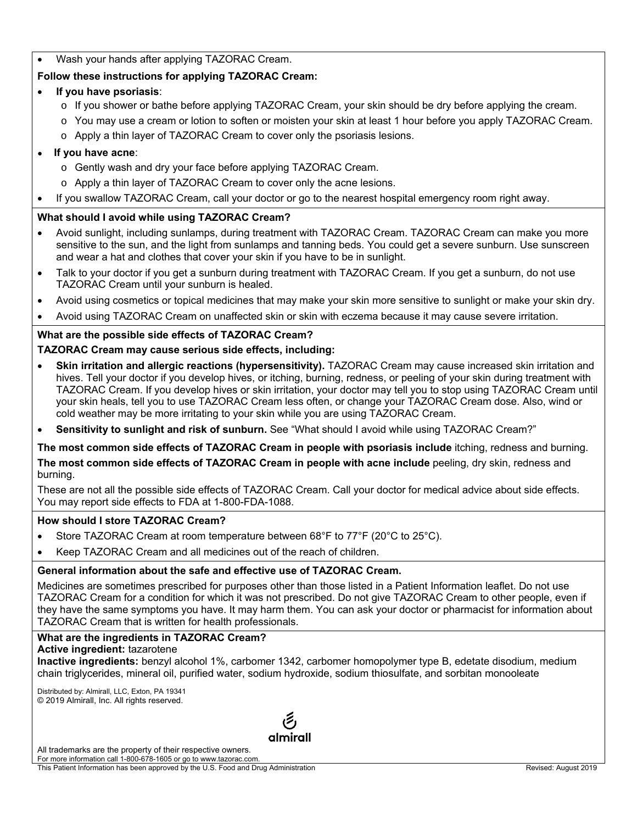Wash your hands after applying TAZORAC Cream.

## **Follow these instructions for applying TAZORAC Cream:**

- **If you have psoriasis**:
	- o If you shower or bathe before applying TAZORAC Cream, your skin should be dry before applying the cream.
	- o You may use a cream or lotion to soften or moisten your skin at least 1 hour before you apply TAZORAC Cream.
- <sup>o</sup> Apply a thin layer of TAZORAC Cream to cover only the psoriasis lesions. **If you have acne**:

- o Gently wash and dry your face before applying TAZORAC Cream.
- o Apply a thin layer of TAZORAC Cream to cover only the acne lesions.
- If you swallow TAZORAC Cream, call your doctor or go to the nearest hospital emergency room right away.

## **What should I avoid while using TAZORAC Cream?**

- Avoid sunlight, including sunlamps, during treatment with TAZORAC Cream. TAZORAC Cream can make you more sensitive to the sun, and the light from sunlamps and tanning beds. You could get a severe sunburn. Use sunscreen and wear a hat and clothes that cover your skin if you have to be in sunlight.
- Talk to your doctor if you get a sunburn during treatment with TAZORAC Cream. If you get a sunburn, do not use TAZORAC Cream until your sunburn is healed.
- Avoid using cosmetics or topical medicines that may make your skin more sensitive to sunlight or make your skin dry.
- Avoid using TAZORAC Cream on unaffected skin or skin with eczema because it may cause severe irritation.

## **What are the possible side effects of TAZORAC Cream?**

## **TAZORAC Cream may cause serious side effects, including:**

- **Skin irritation and allergic reactions (hypersensitivity).** TAZORAC Cream may cause increased skin irritation and hives. Tell your doctor if you develop hives, or itching, burning, redness, or peeling of your skin during treatment with TAZORAC Cream. If you develop hives or skin irritation, your doctor may tell you to stop using TAZORAC Cream until your skin heals, tell you to use TAZORAC Cream less often, or change your TAZORAC Cream dose. Also, wind or cold weather may be more irritating to your skin while you are using TAZORAC Cream.
- **Sensitivity to sunlight and risk of sunburn.** See "What should I avoid while using TAZORAC Cream?"

**The most common side effects of TAZORAC Cream in people with psoriasis include** itching, redness and burning. **The most common side effects of TAZORAC Cream in people with acne include** peeling, dry skin, redness and burning.

These are not all the possible side effects of TAZORAC Cream. Call your doctor for medical advice about side effects. You may report side effects to FDA at 1-800-FDA-1088.

## **How should I store TAZORAC Cream?**

- Store TAZORAC Cream at room temperature between 68°F to 77°F (20°C to 25°C).
- Keep TAZORAC Cream and all medicines out of the reach of children.

## **General information about the safe and effective use of TAZORAC Cream.**

Medicines are sometimes prescribed for purposes other than those listed in a Patient Information leaflet. Do not use TAZORAC Cream for a condition for which it was not prescribed. Do not give TAZORAC Cream to other people, even if they have the same symptoms you have. It may harm them. You can ask your doctor or pharmacist for information about TAZORAC Cream that is written for health professionals.

## **What are the ingredients in TAZORAC Cream?**

#### **Active ingredient:** tazarotene

**Inactive ingredients:** benzyl alcohol 1%, carbomer 1342, carbomer homopolymer type B, edetate disodium, medium chain triglycerides, mineral oil, purified water, sodium hydroxide, sodium thiosulfate, and sorbitan monooleate

 Distributed by: Almirall, LLC, Exton, PA 19341 © 2019 Almirall, Inc. All rights reserved.



All trademarks are the property of their respective owners. For more information call 1-800-678-1605 or go to www.tazorac.com.

This Patient Information has been approved by the U.S. Food and Drug Administration **Revised: August 2019** Revised: August 2019